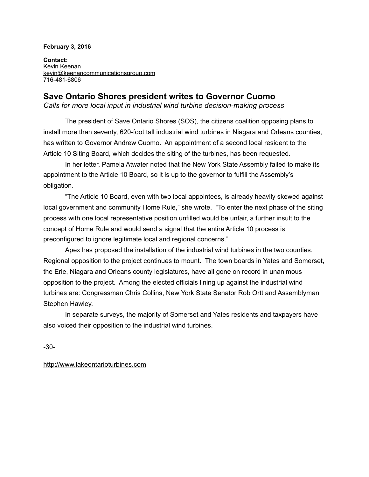## **February 3, 2016**

**Contact:**  Kevin Keenan [kevin@keenancommunicationsgroup.com](mailto:kevin@keenancommunicationsgroup.com) 716-481-6806

## **Save Ontario Shores president writes to Governor Cuomo**

*Calls for more local input in industrial wind turbine decision-making process* 

 The president of Save Ontario Shores (SOS), the citizens coalition opposing plans to install more than seventy, 620-foot tall industrial wind turbines in Niagara and Orleans counties, has written to Governor Andrew Cuomo. An appointment of a second local resident to the Article 10 Siting Board, which decides the siting of the turbines, has been requested.

 In her letter, Pamela Atwater noted that the New York State Assembly failed to make its appointment to the Article 10 Board, so it is up to the governor to fulfill the Assembly's obligation.

 "The Article 10 Board, even with two local appointees, is already heavily skewed against local government and community Home Rule," she wrote. "To enter the next phase of the siting process with one local representative position unfilled would be unfair, a further insult to the concept of Home Rule and would send a signal that the entire Article 10 process is preconfigured to ignore legitimate local and regional concerns."

 Apex has proposed the installation of the industrial wind turbines in the two counties. Regional opposition to the project continues to mount. The town boards in Yates and Somerset, the Erie, Niagara and Orleans county legislatures, have all gone on record in unanimous opposition to the project. Among the elected officials lining up against the industrial wind turbines are: Congressman Chris Collins, New York State Senator Rob Ortt and Assemblyman Stephen Hawley.

 In separate surveys, the majority of Somerset and Yates residents and taxpayers have also voiced their opposition to the industrial wind turbines.

-30-

<http://www.lakeontarioturbines.com>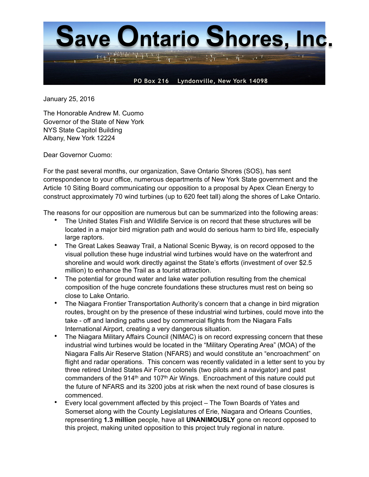

January 25, 2016

The Honorable Andrew M. Cuomo Governor of the State of New York NYS State Capitol Building Albany, New York 12224

Dear Governor Cuomo:

For the past several months, our organization, Save Ontario Shores (SOS), has sent correspondence to your office, numerous departments of New York State government and the Article 10 Siting Board communicating our opposition to a proposal by Apex Clean Energy to construct approximately 70 wind turbines (up to 620 feet tall) along the shores of Lake Ontario.

The reasons for our opposition are numerous but can be summarized into the following areas:

- The United States Fish and Wildlife Service is on record that these structures will be located in a major bird migration path and would do serious harm to bird life, especially large raptors.
- The Great Lakes Seaway Trail, a National Scenic Byway, is on record opposed to the visual pollution these huge industrial wind turbines would have on the waterfront and shoreline and would work directly against the State's efforts (investment of over \$2.5 million) to enhance the Trail as a tourist attraction.
- The potential for ground water and lake water pollution resulting from the chemical composition of the huge concrete foundations these structures must rest on being so close to Lake Ontario.
- The Niagara Frontier Transportation Authority's concern that a change in bird migration routes, brought on by the presence of these industrial wind turbines, could move into the take - off and landing paths used by commercial flights from the Niagara Falls International Airport, creating a very dangerous situation.
- The Niagara Military Affairs Council (NIMAC) is on record expressing concern that these industrial wind turbines would be located in the "Military Operating Area" (MOA) of the Niagara Falls Air Reserve Station (NFARS) and would constitute an "encroachment" on flight and radar operations. This concern was recently validated in a letter sent to you by three retired United States Air Force colonels (two pilots and a navigator) and past commanders of the 914<sup>th</sup> and 107<sup>th</sup> Air Wings. Encroachment of this nature could put the future of NFARS and its 3200 jobs at risk when the next round of base closures is commenced.
- Every local government affected by this project The Town Boards of Yates and Somerset along with the County Legislatures of Erie, Niagara and Orleans Counties, representing **1.3 million** people, have all **UNANIMOUSLY** gone on record opposed to this project, making united opposition to this project truly regional in nature.